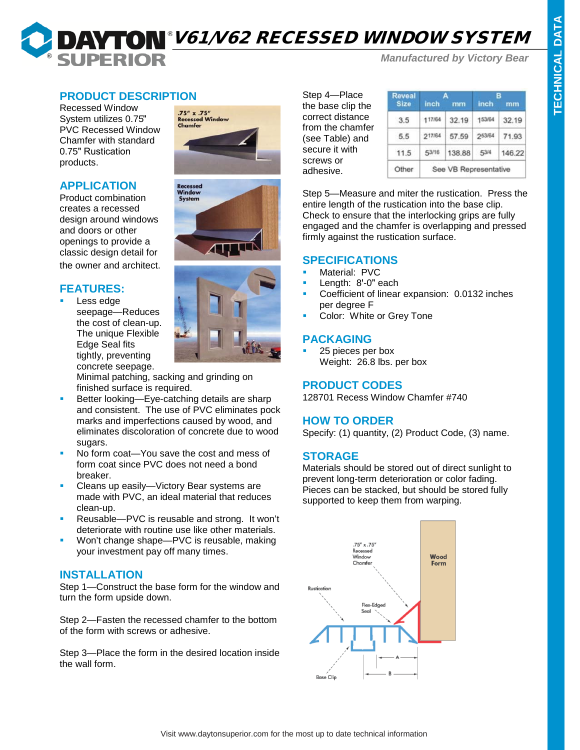# **DAYTON** V61/V62 RECESSED WINDOW SYSTEM **SUPERIOR**

*Manufactured by Victory Bear*

## **PRODUCT DESCRIPTION**

Recessed Window System utilizes 0.75" PVC Recessed Window Chamfer with standard 0.75" Rustication products.

#### **APPLICATION**

Product combination creates a recessed design around windows and doors or other openings to provide a classic design detail for the owner and architect.

# **FEATURES:**

 Less edge seepage—Reduces the cost of clean-up. The unique Flexible Edge Seal fits tightly, preventing concrete seepage.







Minimal patching, sacking and grinding on finished surface is required.

- Better looking—Eye-catching details are sharp and consistent. The use of PVC eliminates pock marks and imperfections caused by wood, and eliminates discoloration of concrete due to wood sugars.
- No form coat—You save the cost and mess of form coat since PVC does not need a bond breaker.
- Cleans up easily—Victory Bear systems are made with PVC, an ideal material that reduces clean-up.
- **Reusable—PVC** is reusable and strong. It won't deteriorate with routine use like other materials.
- **Won't change shape—PVC is reusable, making** your investment pay off many times.

### **INSTALLATION**

Step 1—Construct the base form for the window and turn the form upside down.

Step 2—Fasten the recessed chamfer to the bottom of the form with screws or adhesive.

Step 3—Place the form in the desired location inside the wall form.

Step 4—Place the base clip the correct distance from the chamfer (see Table) and secure it with screws or adhesive.

| <b>Reveal</b> |        | д                     |        |        |  |
|---------------|--------|-----------------------|--------|--------|--|
| Size          | inch   | mm                    | inch   | mm     |  |
| 3.5           | 117/64 | 32.19                 | 153/64 | 32.19  |  |
| 5.5           | 217/64 | 57.59                 | 253/64 | 71.93  |  |
| 11.5          | 53/16  | 138,88                | 53/4   | 146.22 |  |
| Other         |        | See VB Representative |        |        |  |

Step 5—Measure and miter the rustication. Press the entire length of the rustication into the base clip. Check to ensure that the interlocking grips are fully engaged and the chamfer is overlapping and pressed firmly against the rustication surface.

#### **SPECIFICATIONS**

- Material: PVC
- Length: 8'-0" each
- Coefficient of linear expansion: 0.0132 inches per degree F
- Color: White or Grey Tone

## **PACKAGING**

 25 pieces per box Weight: 26.8 lbs. per box

## **PRODUCT CODES**

128701 Recess Window Chamfer #740

### **HOW TO ORDER**

Specify: (1) quantity, (2) Product Code, (3) name.

### **STORAGE**

Materials should be stored out of direct sunlight to prevent long-term deterioration or color fading. Pieces can be stacked, but should be stored fully supported to keep them from warping.